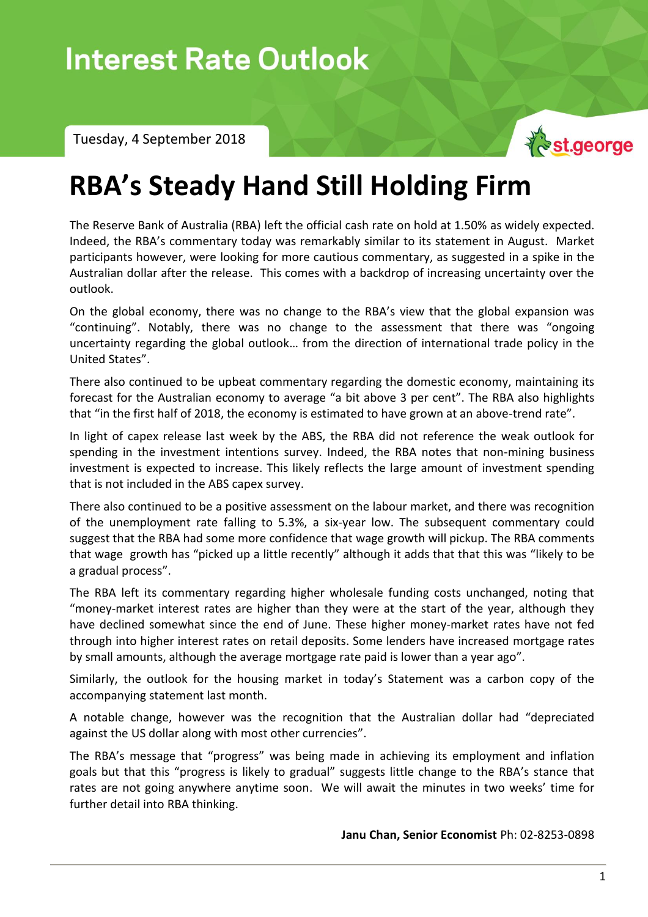Tuesday, 4 September 2018



# **RBA's Steady Hand Still Holding Firm**

The Reserve Bank of Australia (RBA) left the official cash rate on hold at 1.50% as widely expected. Indeed, the RBA's commentary today was remarkably similar to its statement in August. Market participants however, were looking for more cautious commentary, as suggested in a spike in the Australian dollar after the release. This comes with a backdrop of increasing uncertainty over the outlook.

On the global economy, there was no change to the RBA's view that the global expansion was "continuing". Notably, there was no change to the assessment that there was "ongoing uncertainty regarding the global outlook… from the direction of international trade policy in the United States".

There also continued to be upbeat commentary regarding the domestic economy, maintaining its forecast for the Australian economy to average "a bit above 3 per cent". The RBA also highlights that "in the first half of 2018, the economy is estimated to have grown at an above-trend rate".

In light of capex release last week by the ABS, the RBA did not reference the weak outlook for spending in the investment intentions survey. Indeed, the RBA notes that non-mining business investment is expected to increase. This likely reflects the large amount of investment spending that is not included in the ABS capex survey.

There also continued to be a positive assessment on the labour market, and there was recognition of the unemployment rate falling to 5.3%, a six-year low. The subsequent commentary could suggest that the RBA had some more confidence that wage growth will pickup. The RBA comments that wage growth has "picked up a little recently" although it adds that that this was "likely to be a gradual process".

The RBA left its commentary regarding higher wholesale funding costs unchanged, noting that "money-market interest rates are higher than they were at the start of the year, although they have declined somewhat since the end of June. These higher money-market rates have not fed through into higher interest rates on retail deposits. Some lenders have increased mortgage rates by small amounts, although the average mortgage rate paid is lower than a year ago".

Similarly, the outlook for the housing market in today's Statement was a carbon copy of the accompanying statement last month.

A notable change, however was the recognition that the Australian dollar had "depreciated against the US dollar along with most other currencies".

The RBA's message that "progress" was being made in achieving its employment and inflation goals but that this "progress is likely to gradual" suggests little change to the RBA's stance that rates are not going anywhere anytime soon. We will await the minutes in two weeks' time for further detail into RBA thinking.

**Janu Chan, Senior Economist** Ph: 02-8253-0898